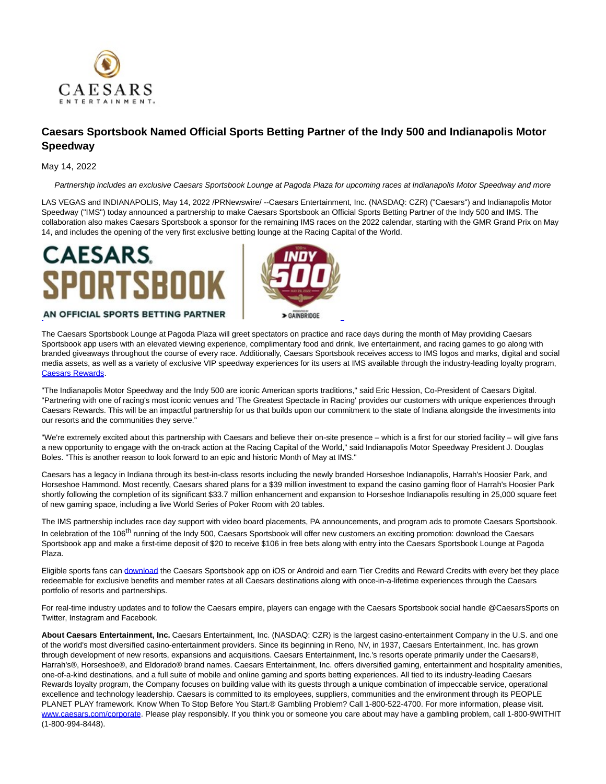

## **Caesars Sportsbook Named Official Sports Betting Partner of the Indy 500 and Indianapolis Motor Speedway**

## May 14, 2022

Partnership includes an exclusive Caesars Sportsbook Lounge at Pagoda Plaza for upcoming races at Indianapolis Motor Speedway and more

LAS VEGAS and INDIANAPOLIS, May 14, 2022 /PRNewswire/ --Caesars Entertainment, Inc. (NASDAQ: CZR) ("Caesars") and Indianapolis Motor Speedway ("IMS") today announced a partnership to make Caesars Sportsbook an Official Sports Betting Partner of the Indy 500 and IMS. The collaboration also makes Caesars Sportsbook a sponsor for the remaining IMS races on the 2022 calendar, starting with the GMR Grand Prix on May 14, and includes the opening of the very first exclusive betting lounge at the Racing Capital of the World.

## **CAESARS PORTSBOOK**



## AN OFFICIAL SPORTS BETTING PARTNER

The Caesars Sportsbook Lounge at Pagoda Plaza will greet spectators on practice and race days during the month of May providing Caesars Sportsbook app users with an elevated viewing experience, complimentary food and drink, live entertainment, and racing games to go along with branded giveaways throughout the course of every race. Additionally, Caesars Sportsbook receives access to IMS logos and marks, digital and social media assets, as well as a variety of exclusive VIP speedway experiences for its users at IMS available through the industry-leading loyalty program, [Caesars Rewards.](https://c212.net/c/link/?t=0&l=en&o=3536558-1&h=2812694270&u=https%3A%2F%2Fwww.caesars.com%2Fmyrewards&a=Caesars+Rewards)

"The Indianapolis Motor Speedway and the Indy 500 are iconic American sports traditions," said Eric Hession, Co-President of Caesars Digital. "Partnering with one of racing's most iconic venues and 'The Greatest Spectacle in Racing' provides our customers with unique experiences through Caesars Rewards. This will be an impactful partnership for us that builds upon our commitment to the state of Indiana alongside the investments into our resorts and the communities they serve."

"We're extremely excited about this partnership with Caesars and believe their on-site presence – which is a first for our storied facility – will give fans a new opportunity to engage with the on-track action at the Racing Capital of the World," said Indianapolis Motor Speedway President J. Douglas Boles. "This is another reason to look forward to an epic and historic Month of May at IMS."

Caesars has a legacy in Indiana through its best-in-class resorts including the newly branded Horseshoe Indianapolis, Harrah's Hoosier Park, and Horseshoe Hammond. Most recently, Caesars shared plans for a \$39 million investment to expand the casino gaming floor of Harrah's Hoosier Park shortly following the completion of its significant \$33.7 million enhancement and expansion to Horseshoe Indianapolis resulting in 25,000 square feet of new gaming space, including a live World Series of Poker Room with 20 tables.

The IMS partnership includes race day support with video board placements, PA announcements, and program ads to promote Caesars Sportsbook. In celebration of the 106<sup>th</sup> running of the Indy 500, Caesars Sportsbook will offer new customers an exciting promotion: download the Caesars Sportsbook app and make a first-time deposit of \$20 to receive \$106 in free bets along with entry into the Caesars Sportsbook Lounge at Pagoda Plaza.

Eligible sports fans can [download t](https://c212.net/c/link/?t=0&l=en&o=3536558-1&h=3138331067&u=https%3A%2F%2Fwww.williamhill.com%2Fus%2Fget-the-app&a=download)he Caesars Sportsbook app on iOS or Android and earn Tier Credits and Reward Credits with every bet they place redeemable for exclusive benefits and member rates at all Caesars destinations along with once-in-a-lifetime experiences through the Caesars portfolio of resorts and partnerships.

For real-time industry updates and to follow the Caesars empire, players can engage with the Caesars Sportsbook social handle @CaesarsSports on Twitter, Instagram and Facebook.

**About Caesars Entertainment, Inc.** Caesars Entertainment, Inc. (NASDAQ: CZR) is the largest casino-entertainment Company in the U.S. and one of the world's most diversified casino-entertainment providers. Since its beginning in Reno, NV, in 1937, Caesars Entertainment, Inc. has grown through development of new resorts, expansions and acquisitions. Caesars Entertainment, Inc.'s resorts operate primarily under the Caesars®, Harrah's®, Horseshoe®, and Eldorado® brand names. Caesars Entertainment, Inc. offers diversified gaming, entertainment and hospitality amenities, one-of-a-kind destinations, and a full suite of mobile and online gaming and sports betting experiences. All tied to its industry-leading Caesars Rewards loyalty program, the Company focuses on building value with its guests through a unique combination of impeccable service, operational excellence and technology leadership. Caesars is committed to its employees, suppliers, communities and the environment through its PEOPLE PLANET PLAY framework. Know When To Stop Before You Start.® Gambling Problem? Call 1-800-522-4700. For more information, please visit. [www.caesars.com/corporate.](https://c212.net/c/link/?t=0&l=en&o=3536558-1&h=2058114038&u=http%3A%2F%2Fwww.caesars.com%2Fcorporate&a=www.caesars.com%2Fcorporate) Please play responsibly. If you think you or someone you care about may have a gambling problem, call 1-800-9WITHIT (1-800-994-8448).